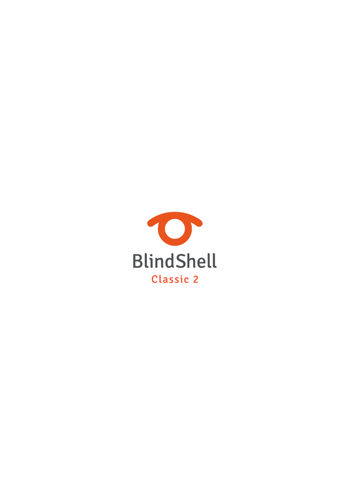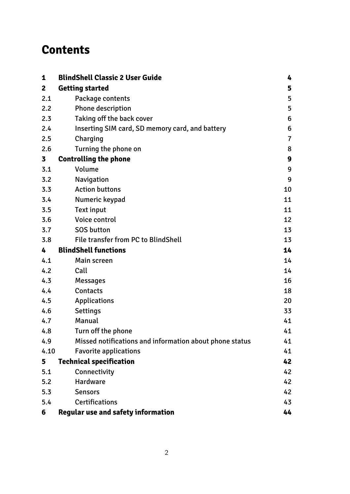# **Contents**

| 1              | <b>BlindShell Classic 2 User Guide</b>                  | 4               |
|----------------|---------------------------------------------------------|-----------------|
| $\overline{2}$ | <b>Getting started</b>                                  | 5               |
| 2.1            | Package contents                                        | 5               |
| 2.2            | Phone description                                       | 5               |
| 2.3            | Taking off the back cover                               | $6\phantom{1}6$ |
| 2.4            | Inserting SIM card, SD memory card, and battery         | 6               |
| 2.5            | Charging                                                | $\overline{7}$  |
| 2.6            | Turning the phone on                                    | 8               |
| 3              | <b>Controlling the phone</b>                            | 9               |
| 3.1            | Volume                                                  | 9               |
| 3.2            | Navigation                                              | 9               |
| 3.3            | <b>Action buttons</b>                                   | 10              |
| 3.4            | Numeric keypad                                          | 11              |
| 3.5            | <b>Text input</b>                                       | 11              |
| 3.6            | Voice control                                           | 12              |
| 3.7            | <b>SOS button</b>                                       | 13              |
| 3.8            | File transfer from PC to BlindShell                     | 13              |
| 4              | <b>BlindShell functions</b>                             | 14              |
| 4.1            | Main screen                                             | 14              |
| 4.2            | Call                                                    | 14              |
| 4.3            | <b>Messages</b>                                         | 16              |
| 4.4            | <b>Contacts</b>                                         | 18              |
| 4.5            | <b>Applications</b>                                     | 20              |
| 4.6            | <b>Settings</b>                                         | 33              |
| 4.7            | Manual                                                  | 41              |
| 4.8            | Turn off the phone                                      | 41              |
| 4.9            | Missed notifications and information about phone status | 41              |
| 4.10           | <b>Favorite applications</b>                            | 41              |
| 5              | <b>Technical specification</b>                          | 42              |
| 5.1            | Connectivity                                            | 42              |
| 5.2            | <b>Hardware</b>                                         | 42              |
| 5.3            | <b>Sensors</b>                                          | 42              |
| 5.4            | <b>Certifications</b>                                   | 43              |
| 6              | <b>Regular use and safety information</b>               | 44              |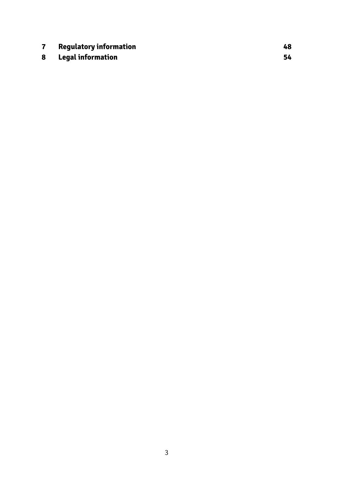|   | <b>Regulatory information</b> | 48 |
|---|-------------------------------|----|
| 8 | Legal information             |    |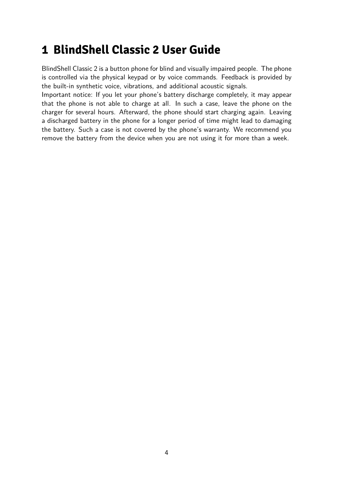# <span id="page-3-0"></span>**1 BlindShell Classic 2 User Guide**

BlindShell Classic 2 is a button phone for blind and visually impaired people. The phone is controlled via the physical keypad or by voice commands. Feedback is provided by the built-in synthetic voice, vibrations, and additional acoustic signals.

Important notice: If you let your phone's battery discharge completely, it may appear that the phone is not able to charge at all. In such a case, leave the phone on the charger for several hours. Afterward, the phone should start charging again. Leaving a discharged battery in the phone for a longer period of time might lead to damaging the battery. Such a case is not covered by the phone's warranty. We recommend you remove the battery from the device when you are not using it for more than a week.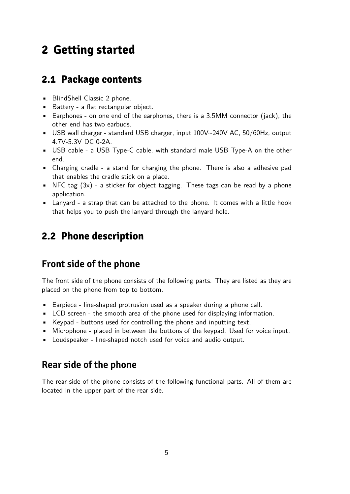# <span id="page-4-0"></span>**2 Getting started**

### **2.1 Package contents**

- BlindShell Classic 2 phone.
- Battery a flat rectangular object.
- Earphones on one end of the earphones, there is a 3.5MM connector (jack), the other end has two earbuds.
- USB wall charger standard USB charger, input 100V~240V AC, 50/60Hz, output 4.7V-5.3V DC 0-2A.
- USB cable a USB Type-C cable, with standard male USB Type-A on the other end.
- Charging cradle a stand for charging the phone. There is also a adhesive pad that enables the cradle stick on a place.
- NFC tag  $(3x)$  a sticker for object tagging. These tags can be read by a phone application.
- Lanyard a strap that can be attached to the phone. It comes with a little hook that helps you to push the lanyard through the lanyard hole.

## **2.2 Phone description**

### **Front side of the phone**

The front side of the phone consists of the following parts. They are listed as they are placed on the phone from top to bottom.

- Earpiece line-shaped protrusion used as a speaker during a phone call.
- LCD screen the smooth area of the phone used for displaying information.
- Keypad buttons used for controlling the phone and inputting text.
- Microphone placed in between the buttons of the keypad. Used for voice input.
- Loudspeaker line-shaped notch used for voice and audio output.

### **Rear side of the phone**

The rear side of the phone consists of the following functional parts. All of them are located in the upper part of the rear side.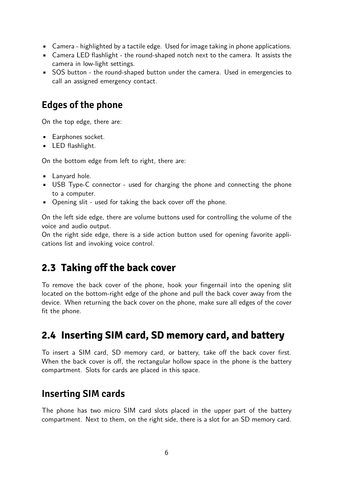- <span id="page-5-0"></span>• Camera - highlighted by a tactile edge. Used for image taking in phone applications.
- Camera LED flashlight the round-shaped notch next to the camera. It assists the camera in low-light settings.
- SOS button the round-shaped button under the camera. Used in emergencies to call an assigned emergency contact.

### **Edges of the phone**

On the top edge, there are:

- Earphones socket.
- **•** LED flashlight.

On the bottom edge from left to right, there are:

- Lanyard hole.
- USB Type-C connector used for charging the phone and connecting the phone to a computer.
- Opening slit used for taking the back cover off the phone.

On the left side edge, there are volume buttons used for controlling the volume of the voice and audio output.

On the right side edge, there is a side action button used for opening favorite applications list and invoking voice control.

## **2.3 Taking off the back cover**

To remove the back cover of the phone, hook your fingernail into the opening slit located on the bottom-right edge of the phone and pull the back cover away from the device. When returning the back cover on the phone, make sure all edges of the cover fit the phone.

## **2.4 Inserting SIM card, SD memory card, and battery**

To insert a SIM card, SD memory card, or battery, take off the back cover first. When the back cover is off, the rectangular hollow space in the phone is the battery compartment. Slots for cards are placed in this space.

### **Inserting SIM cards**

The phone has two micro SIM card slots placed in the upper part of the battery compartment. Next to them, on the right side, there is a slot for an SD memory card.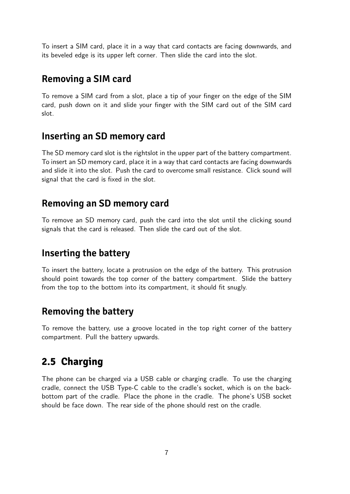<span id="page-6-0"></span>To insert a SIM card, place it in a way that card contacts are facing downwards, and its beveled edge is its upper left corner. Then slide the card into the slot.

### **Removing a SIM card**

To remove a SIM card from a slot, place a tip of your finger on the edge of the SIM card, push down on it and slide your finger with the SIM card out of the SIM card slot.

### **Inserting an SD memory card**

The SD memory card slot is the rightslot in the upper part of the battery compartment. To insert an SD memory card, place it in a way that card contacts are facing downwards and slide it into the slot. Push the card to overcome small resistance. Click sound will signal that the card is fixed in the slot.

### **Removing an SD memory card**

To remove an SD memory card, push the card into the slot until the clicking sound signals that the card is released. Then slide the card out of the slot.

## **Inserting the battery**

To insert the battery, locate a protrusion on the edge of the battery. This protrusion should point towards the top corner of the battery compartment. Slide the battery from the top to the bottom into its compartment, it should fit snugly.

### **Removing the battery**

To remove the battery, use a groove located in the top right corner of the battery compartment. Pull the battery upwards.

## **2.5 Charging**

The phone can be charged via a USB cable or charging cradle. To use the charging cradle, connect the USB Type-C cable to the cradle's socket, which is on the backbottom part of the cradle. Place the phone in the cradle. The phone's USB socket should be face down. The rear side of the phone should rest on the cradle.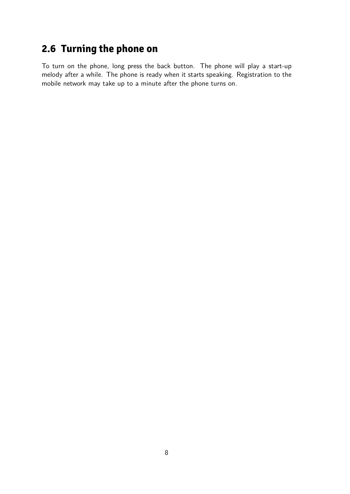# <span id="page-7-0"></span>**2.6 Turning the phone on**

To turn on the phone, long press the back button. The phone will play a start-up melody after a while. The phone is ready when it starts speaking. Registration to the mobile network may take up to a minute after the phone turns on.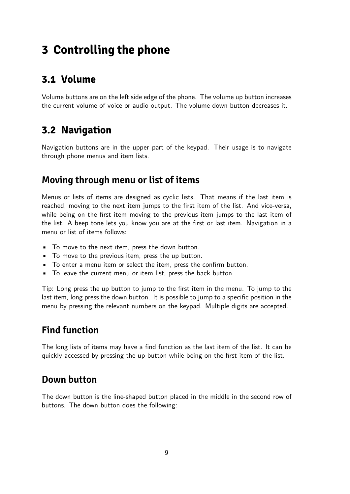# <span id="page-8-0"></span>**3 Controlling the phone**

## **3.1 Volume**

Volume buttons are on the left side edge of the phone. The volume up button increases the current volume of voice or audio output. The volume down button decreases it.

## **3.2 Navigation**

Navigation buttons are in the upper part of the keypad. Their usage is to navigate through phone menus and item lists.

### **Moving through menu or list of items**

Menus or lists of items are designed as cyclic lists. That means if the last item is reached, moving to the next item jumps to the first item of the list. And vice-versa, while being on the first item moving to the previous item jumps to the last item of the list. A beep tone lets you know you are at the first or last item. Navigation in a menu or list of items follows:

- To move to the next item, press the down button.
- To move to the previous item, press the up button.
- To enter a menu item or select the item, press the confirm button.
- To leave the current menu or item list, press the back button.

Tip: Long press the up button to jump to the first item in the menu. To jump to the last item, long press the down button. It is possible to jump to a specific position in the menu by pressing the relevant numbers on the keypad. Multiple digits are accepted.

## **Find function**

The long lists of items may have a find function as the last item of the list. It can be quickly accessed by pressing the up button while being on the first item of the list.

### **Down button**

The down button is the line-shaped button placed in the middle in the second row of buttons. The down button does the following: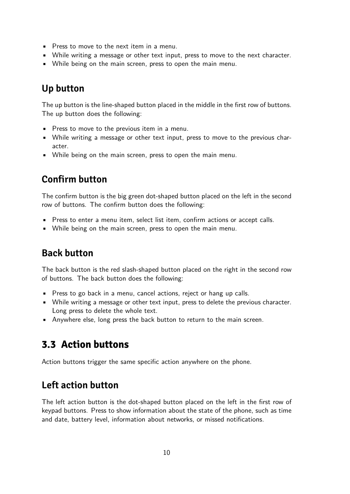- <span id="page-9-0"></span>• Press to move to the next item in a menu.
- While writing a message or other text input, press to move to the next character.
- While being on the main screen, press to open the main menu.

### **Up button**

The up button is the line-shaped button placed in the middle in the first row of buttons. The up button does the following:

- Press to move to the previous item in a menu.
- While writing a message or other text input, press to move to the previous character.
- While being on the main screen, press to open the main menu.

## **Confirm button**

The confirm button is the big green dot-shaped button placed on the left in the second row of buttons. The confirm button does the following:

- Press to enter a menu item, select list item, confirm actions or accept calls.
- While being on the main screen, press to open the main menu.

## **Back button**

The back button is the red slash-shaped button placed on the right in the second row of buttons. The back button does the following:

- Press to go back in a menu, cancel actions, reject or hang up calls.
- While writing a message or other text input, press to delete the previous character. Long press to delete the whole text.
- Anywhere else, long press the back button to return to the main screen.

## **3.3 Action buttons**

Action buttons trigger the same specific action anywhere on the phone.

## **Left action button**

The left action button is the dot-shaped button placed on the left in the first row of keypad buttons. Press to show information about the state of the phone, such as time and date, battery level, information about networks, or missed notifications.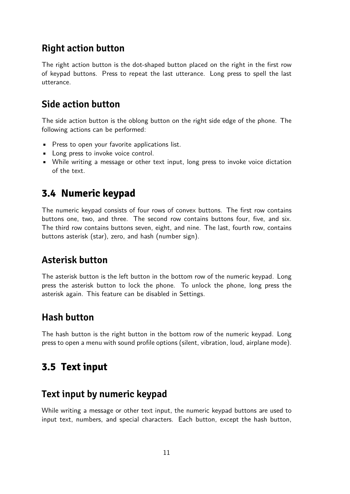### <span id="page-10-0"></span>**Right action button**

The right action button is the dot-shaped button placed on the right in the first row of keypad buttons. Press to repeat the last utterance. Long press to spell the last utterance.

### **Side action button**

The side action button is the oblong button on the right side edge of the phone. The following actions can be performed:

- Press to open your favorite applications list.
- Long press to invoke voice control.
- While writing a message or other text input, long press to invoke voice dictation of the text.

## **3.4 Numeric keypad**

The numeric keypad consists of four rows of convex buttons. The first row contains buttons one, two, and three. The second row contains buttons four, five, and six. The third row contains buttons seven, eight, and nine. The last, fourth row, contains buttons asterisk (star), zero, and hash (number sign).

## **Asterisk button**

The asterisk button is the left button in the bottom row of the numeric keypad. Long press the asterisk button to lock the phone. To unlock the phone, long press the asterisk again. This feature can be disabled in Settings.

### **Hash button**

The hash button is the right button in the bottom row of the numeric keypad. Long press to open a menu with sound profile options (silent, vibration, loud, airplane mode).

## **3.5 Text input**

### **Text input by numeric keypad**

While writing a message or other text input, the numeric keypad buttons are used to input text, numbers, and special characters. Each button, except the hash button,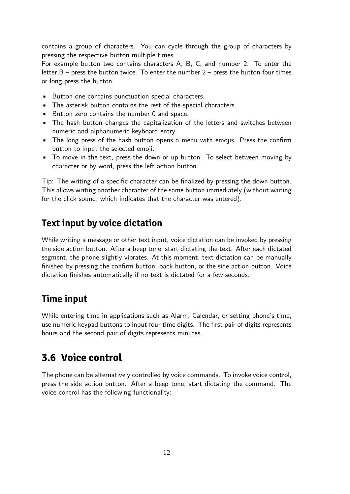<span id="page-11-0"></span>contains a group of characters. You can cycle through the group of characters by pressing the respective button multiple times.

For example button two contains characters A, B, C, and number 2. To enter the letter  $B$  – press the button twice. To enter the number  $2$  – press the button four times or long press the button.

- Button one contains punctuation special characters.
- The asterisk button contains the rest of the special characters.
- Button zero contains the number 0 and space.
- The hash button changes the capitalization of the letters and switches between numeric and alphanumeric keyboard entry.
- The long press of the hash button opens a menu with emojis. Press the confirm button to input the selected emoji.
- To move in the text, press the down or up button. To select between moving by character or by word, press the left action button.

Tip: The writing of a specific character can be finalized by pressing the down button. This allows writing another character of the same button immediately (without waiting for the click sound, which indicates that the character was entered).

### **Text input by voice dictation**

While writing a message or other text input, voice dictation can be invoked by pressing the side action button. After a beep tone, start dictating the text. After each dictated segment, the phone slightly vibrates. At this moment, text dictation can be manually finished by pressing the confirm button, back button, or the side action button. Voice dictation finishes automatically if no text is dictated for a few seconds.

### **Time input**

While entering time in applications such as Alarm, Calendar, or setting phone's time, use numeric keypad buttons to input four time digits. The first pair of digits represents hours and the second pair of digits represents minutes.

## **3.6 Voice control**

The phone can be alternatively controlled by voice commands. To invoke voice control, press the side action button. After a beep tone, start dictating the command. The voice control has the following functionality: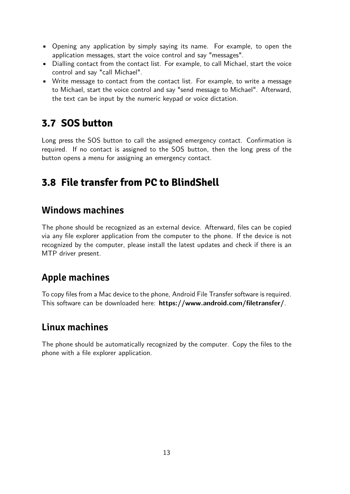- <span id="page-12-0"></span>• Opening any application by simply saying its name. For example, to open the application messages, start the voice control and say "messages".
- Dialling contact from the contact list. For example, to call Michael, start the voice control and say "call Michael".
- Write message to contact from the contact list. For example, to write a message to Michael, start the voice control and say "send message to Michael". Afterward, the text can be input by the numeric keypad or voice dictation.

## **3.7 SOS button**

Long press the SOS button to call the assigned emergency contact. Confirmation is required. If no contact is assigned to the SOS button, then the long press of the button opens a menu for assigning an emergency contact.

## **3.8 File transfer from PC to BlindShell**

### **Windows machines**

The phone should be recognized as an external device. Afterward, files can be copied via any file explorer application from the computer to the phone. If the device is not recognized by the computer, please install the latest updates and check if there is an MTP driver present.

## **Apple machines**

To copy files from a Mac device to the phone, Android File Transfer software is required. This software can be downloaded here: **<https://www.android.com/filetransfer/>**.

### **Linux machines**

The phone should be automatically recognized by the computer. Copy the files to the phone with a file explorer application.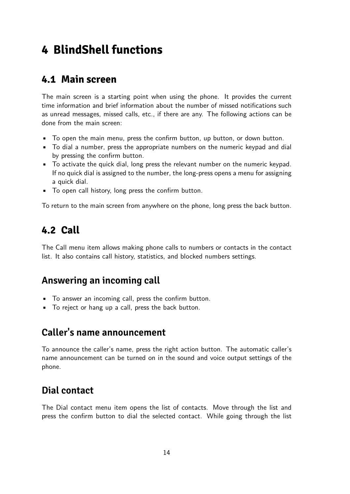# <span id="page-13-0"></span>**4 BlindShell functions**

### **4.1 Main screen**

The main screen is a starting point when using the phone. It provides the current time information and brief information about the number of missed notifications such as unread messages, missed calls, etc., if there are any. The following actions can be done from the main screen:

- To open the main menu, press the confirm button, up button, or down button.
- To dial a number, press the appropriate numbers on the numeric keypad and dial by pressing the confirm button.
- To activate the quick dial, long press the relevant number on the numeric keypad. If no quick dial is assigned to the number, the long-press opens a menu for assigning a quick dial.
- To open call history, long press the confirm button.

To return to the main screen from anywhere on the phone, long press the back button.

## **4.2 Call**

The Call menu item allows making phone calls to numbers or contacts in the contact list. It also contains call history, statistics, and blocked numbers settings.

### **Answering an incoming call**

- To answer an incoming call, press the confirm button.
- To reject or hang up a call, press the back button.

### **Caller's name announcement**

To announce the caller's name, press the right action button. The automatic caller's name announcement can be turned on in the sound and voice output settings of the phone.

## **Dial contact**

The Dial contact menu item opens the list of contacts. Move through the list and press the confirm button to dial the selected contact. While going through the list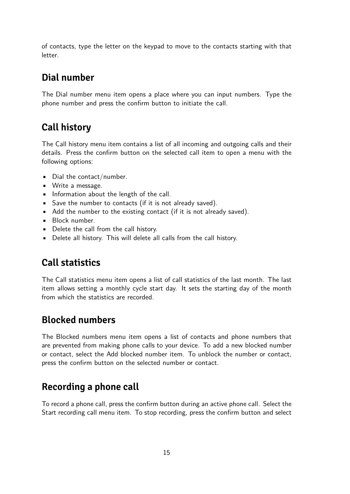of contacts, type the letter on the keypad to move to the contacts starting with that letter.

## **Dial number**

The Dial number menu item opens a place where you can input numbers. Type the phone number and press the confirm button to initiate the call.

## **Call history**

The Call history menu item contains a list of all incoming and outgoing calls and their details. Press the confirm button on the selected call item to open a menu with the following options:

- Dial the contact/number.
- Write a message.
- Information about the length of the call.
- Save the number to contacts (if it is not already saved).
- Add the number to the existing contact (if it is not already saved).
- Block number.
- Delete the call from the call history.
- Delete all history. This will delete all calls from the call history.

## **Call statistics**

The Call statistics menu item opens a list of call statistics of the last month. The last item allows setting a monthly cycle start day. It sets the starting day of the month from which the statistics are recorded.

## **Blocked numbers**

The Blocked numbers menu item opens a list of contacts and phone numbers that are prevented from making phone calls to your device. To add a new blocked number or contact, select the Add blocked number item. To unblock the number or contact, press the confirm button on the selected number or contact.

## **Recording a phone call**

To record a phone call, press the confirm button during an active phone call. Select the Start recording call menu item. To stop recording, press the confirm button and select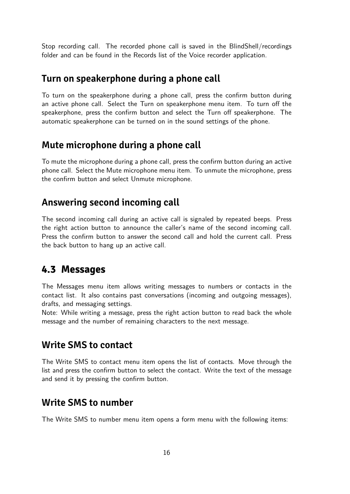<span id="page-15-0"></span>Stop recording call. The recorded phone call is saved in the BlindShell/recordings folder and can be found in the Records list of the Voice recorder application.

### **Turn on speakerphone during a phone call**

To turn on the speakerphone during a phone call, press the confirm button during an active phone call. Select the Turn on speakerphone menu item. To turn off the speakerphone, press the confirm button and select the Turn off speakerphone. The automatic speakerphone can be turned on in the sound settings of the phone.

### **Mute microphone during a phone call**

To mute the microphone during a phone call, press the confirm button during an active phone call. Select the Mute microphone menu item. To unmute the microphone, press the confirm button and select Unmute microphone.

### **Answering second incoming call**

The second incoming call during an active call is signaled by repeated beeps. Press the right action button to announce the caller's name of the second incoming call. Press the confirm button to answer the second call and hold the current call. Press the back button to hang up an active call.

### **4.3 Messages**

The Messages menu item allows writing messages to numbers or contacts in the contact list. It also contains past conversations (incoming and outgoing messages), drafts, and messaging settings.

Note: While writing a message, press the right action button to read back the whole message and the number of remaining characters to the next message.

### **Write SMS to contact**

The Write SMS to contact menu item opens the list of contacts. Move through the list and press the confirm button to select the contact. Write the text of the message and send it by pressing the confirm button.

### **Write SMS to number**

The Write SMS to number menu item opens a form menu with the following items: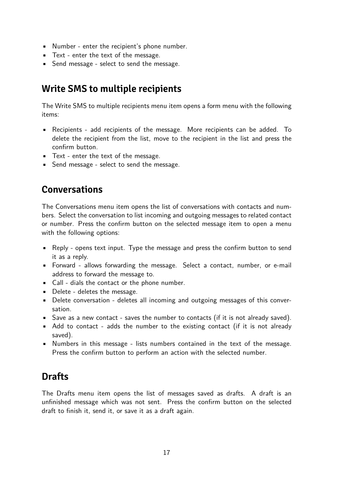- Number enter the recipient's phone number.
- Text enter the text of the message.
- Send message select to send the message.

### **Write SMS to multiple recipients**

The Write SMS to multiple recipients menu item opens a form menu with the following items:

- Recipients add recipients of the message. More recipients can be added. To delete the recipient from the list, move to the recipient in the list and press the confirm button.
- Text enter the text of the message.
- Send message select to send the message.

### **Conversations**

The Conversations menu item opens the list of conversations with contacts and numbers. Select the conversation to list incoming and outgoing messages to related contact or number. Press the confirm button on the selected message item to open a menu with the following options:

- Reply opens text input. Type the message and press the confirm button to send it as a reply.
- Forward allows forwarding the message. Select a contact, number, or e-mail address to forward the message to.
- Call dials the contact or the phone number.
- Delete deletes the message.
- Delete conversation deletes all incoming and outgoing messages of this conversation.
- Save as a new contact saves the number to contacts (if it is not already saved).
- Add to contact adds the number to the existing contact (if it is not already saved).
- Numbers in this message lists numbers contained in the text of the message. Press the confirm button to perform an action with the selected number.

### **Drafts**

The Drafts menu item opens the list of messages saved as drafts. A draft is an unfinished message which was not sent. Press the confirm button on the selected draft to finish it, send it, or save it as a draft again.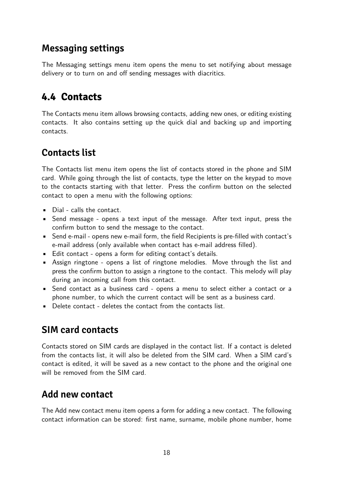### <span id="page-17-0"></span>**Messaging settings**

The Messaging settings menu item opens the menu to set notifying about message delivery or to turn on and off sending messages with diacritics.

## **4.4 Contacts**

The Contacts menu item allows browsing contacts, adding new ones, or editing existing contacts. It also contains setting up the quick dial and backing up and importing contacts.

## **Contacts list**

The Contacts list menu item opens the list of contacts stored in the phone and SIM card. While going through the list of contacts, type the letter on the keypad to move to the contacts starting with that letter. Press the confirm button on the selected contact to open a menu with the following options:

- Dial calls the contact.
- Send message opens a text input of the message. After text input, press the confirm button to send the message to the contact.
- Send e-mail opens new e-mail form, the field Recipients is pre-filled with contact's e-mail address (only available when contact has e-mail address filled).
- Edit contact opens a form for editing contact's details.
- Assign ringtone opens a list of ringtone melodies. Move through the list and press the confirm button to assign a ringtone to the contact. This melody will play during an incoming call from this contact.
- Send contact as a business card opens a menu to select either a contact or a phone number, to which the current contact will be sent as a business card.
- Delete contact deletes the contact from the contacts list.

## **SIM card contacts**

Contacts stored on SIM cards are displayed in the contact list. If a contact is deleted from the contacts list, it will also be deleted from the SIM card. When a SIM card's contact is edited, it will be saved as a new contact to the phone and the original one will be removed from the SIM card.

### **Add new contact**

The Add new contact menu item opens a form for adding a new contact. The following contact information can be stored: first name, surname, mobile phone number, home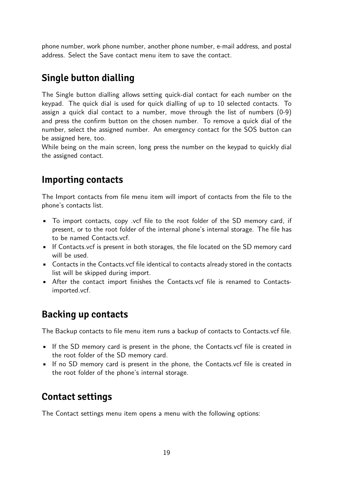phone number, work phone number, another phone number, e-mail address, and postal address. Select the Save contact menu item to save the contact.

## **Single button dialling**

The Single button dialling allows setting quick-dial contact for each number on the keypad. The quick dial is used for quick dialling of up to 10 selected contacts. To assign a quick dial contact to a number, move through the list of numbers (0-9) and press the confirm button on the chosen number. To remove a quick dial of the number, select the assigned number. An emergency contact for the SOS button can be assigned here, too.

While being on the main screen, long press the number on the keypad to quickly dial the assigned contact.

## **Importing contacts**

The Import contacts from file menu item will import of contacts from the file to the phone's contacts list.

- To import contacts, copy .vcf file to the root folder of the SD memory card, if present, or to the root folder of the internal phone's internal storage. The file has to be named Contacts.vcf.
- If Contacts.vcf is present in both storages, the file located on the SD memory card will be used.
- Contacts in the Contacts.vcf file identical to contacts already stored in the contacts list will be skipped during import.
- After the contact import finishes the Contacts.vcf file is renamed to Contactsimported.vcf.

## **Backing up contacts**

The Backup contacts to file menu item runs a backup of contacts to Contacts.vcf file.

- If the SD memory card is present in the phone, the Contacts.vcf file is created in the root folder of the SD memory card.
- If no SD memory card is present in the phone, the Contacts.vcf file is created in the root folder of the phone's internal storage.

## **Contact settings**

The Contact settings menu item opens a menu with the following options: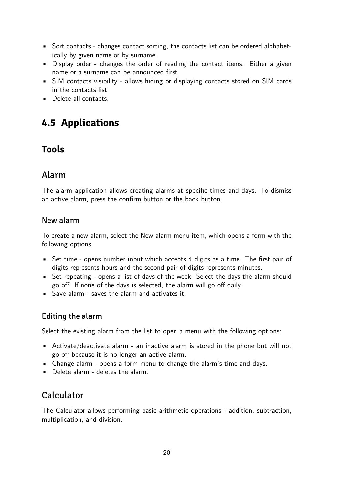- <span id="page-19-0"></span>• Sort contacts - changes contact sorting, the contacts list can be ordered alphabetically by given name or by surname.
- Display order changes the order of reading the contact items. Either a given name or a surname can be announced first.
- SIM contacts visibility allows hiding or displaying contacts stored on SIM cards in the contacts list.
- Delete all contacts.

## **4.5 Applications**

## **Tools**

### Alarm

The alarm application allows creating alarms at specific times and days. To dismiss an active alarm, press the confirm button or the back button.

#### New alarm

To create a new alarm, select the New alarm menu item, which opens a form with the following options:

- Set time opens number input which accepts 4 digits as a time. The first pair of digits represents hours and the second pair of digits represents minutes.
- Set repeating opens a list of days of the week. Select the days the alarm should go off. If none of the days is selected, the alarm will go off daily.
- Save alarm saves the alarm and activates it.

#### Editing the alarm

Select the existing alarm from the list to open a menu with the following options:

- Activate/deactivate alarm an inactive alarm is stored in the phone but will not go off because it is no longer an active alarm.
- Change alarm opens a form menu to change the alarm's time and days.
- Delete alarm deletes the alarm.

### Calculator

The Calculator allows performing basic arithmetic operations - addition, subtraction, multiplication, and division.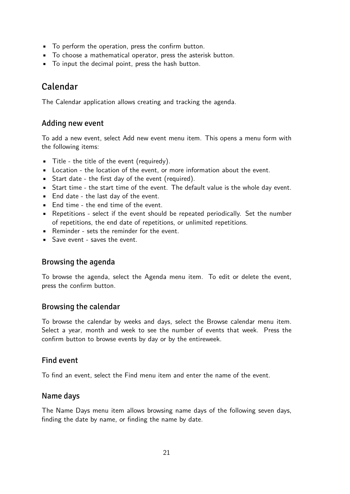- To perform the operation, press the confirm button.
- To choose a mathematical operator, press the asterisk button.
- To input the decimal point, press the hash button.

### Calendar

The Calendar application allows creating and tracking the agenda.

#### Adding new event

To add a new event, select Add new event menu item. This opens a menu form with the following items:

- Title the title of the event (requiredy).
- Location the location of the event, or more information about the event.
- Start date the first day of the event (required).
- Start time the start time of the event. The default value is the whole day event.
- End date the last day of the event.
- End time the end time of the event.
- Repetitions select if the event should be repeated periodically. Set the number of repetitions, the end date of repetitions, or unlimited repetitions.
- Reminder sets the reminder for the event.
- Save event saves the event.

#### Browsing the agenda

To browse the agenda, select the Agenda menu item. To edit or delete the event, press the confirm button.

#### Browsing the calendar

To browse the calendar by weeks and days, select the Browse calendar menu item. Select a year, month and week to see the number of events that week. Press the confirm button to browse events by day or by the entireweek.

#### Find event

To find an event, select the Find menu item and enter the name of the event.

#### Name days

The Name Days menu item allows browsing name days of the following seven days, finding the date by name, or finding the name by date.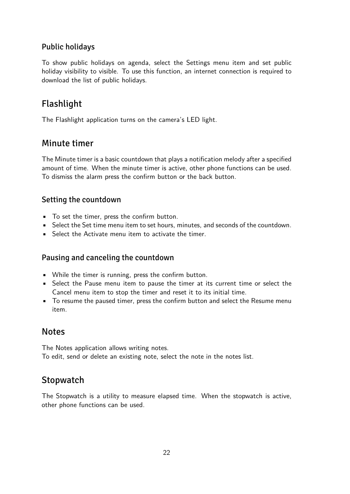#### Public holidays

To show public holidays on agenda, select the Settings menu item and set public holiday visibility to visible. To use this function, an internet connection is required to download the list of public holidays.

### Flashlight

The Flashlight application turns on the camera's LED light.

### Minute timer

The Minute timer is a basic countdown that plays a notification melody after a specified amount of time. When the minute timer is active, other phone functions can be used. To dismiss the alarm press the confirm button or the back button.

#### Setting the countdown

- To set the timer, press the confirm button.
- Select the Set time menu item to set hours, minutes, and seconds of the countdown.
- Select the Activate menu item to activate the timer.

#### Pausing and canceling the countdown

- While the timer is running, press the confirm button.
- Select the Pause menu item to pause the timer at its current time or select the Cancel menu item to stop the timer and reset it to its initial time.
- To resume the paused timer, press the confirm button and select the Resume menu item.

### **Notes**

The Notes application allows writing notes. To edit, send or delete an existing note, select the note in the notes list.

### **Stopwatch**

The Stopwatch is a utility to measure elapsed time. When the stopwatch is active, other phone functions can be used.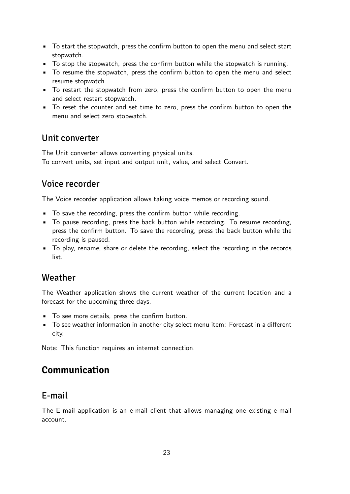- To start the stopwatch, press the confirm button to open the menu and select start stopwatch.
- To stop the stopwatch, press the confirm button while the stopwatch is running.
- To resume the stopwatch, press the confirm button to open the menu and select resume stopwatch.
- To restart the stopwatch from zero, press the confirm button to open the menu and select restart stopwatch.
- To reset the counter and set time to zero, press the confirm button to open the menu and select zero stopwatch.

#### Unit converter

The Unit converter allows converting physical units. To convert units, set input and output unit, value, and select Convert.

### Voice recorder

The Voice recorder application allows taking voice memos or recording sound.

- To save the recording, press the confirm button while recording.
- To pause recording, press the back button while recording. To resume recording, press the confirm button. To save the recording, press the back button while the recording is paused.
- To play, rename, share or delete the recording, select the recording in the records list.

### Weather

The Weather application shows the current weather of the current location and a forecast for the upcoming three days.

- To see more details, press the confirm button.
- To see weather information in another city select menu item: Forecast in a different city.

Note: This function requires an internet connection.

## **Communication**

### E-mail

The E-mail application is an e-mail client that allows managing one existing e-mail account.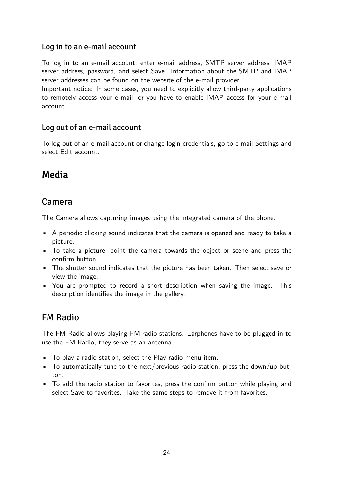#### Log in to an e-mail account

To log in to an e-mail account, enter e-mail address, SMTP server address, IMAP server address, password, and select Save. Information about the SMTP and IMAP server addresses can be found on the website of the e-mail provider.

Important notice: In some cases, you need to explicitly allow third-party applications to remotely access your e-mail, or you have to enable IMAP access for your e-mail account.

#### Log out of an e-mail account

To log out of an e-mail account or change login credentials, go to e-mail Settings and select Edit account.

## **Media**

### Camera

The Camera allows capturing images using the integrated camera of the phone.

- A periodic clicking sound indicates that the camera is opened and ready to take a picture.
- To take a picture, point the camera towards the object or scene and press the confirm button.
- The shutter sound indicates that the picture has been taken. Then select save or view the image.
- You are prompted to record a short description when saving the image. This description identifies the image in the gallery.

### FM Radio

The FM Radio allows playing FM radio stations. Earphones have to be plugged in to use the FM Radio, they serve as an antenna.

- To play a radio station, select the Play radio menu item.
- $\blacksquare$  To automatically tune to the next/previous radio station, press the down/up button.
- To add the radio station to favorites, press the confirm button while playing and select Save to favorites. Take the same steps to remove it from favorites.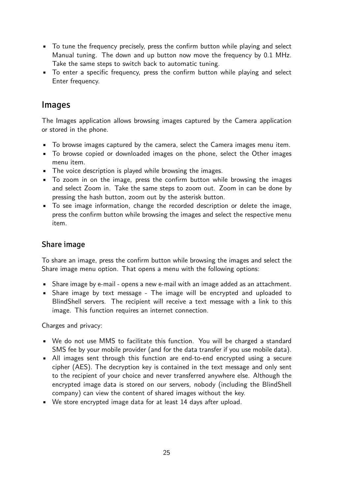- To tune the frequency precisely, press the confirm button while playing and select Manual tuning. The down and up button now move the frequency by 0.1 MHz. Take the same steps to switch back to automatic tuning.
- To enter a specific frequency, press the confirm button while playing and select Enter frequency.

#### Images

The Images application allows browsing images captured by the Camera application or stored in the phone.

- To browse images captured by the camera, select the Camera images menu item.
- To browse copied or downloaded images on the phone, select the Other images menu item.
- The voice description is played while browsing the images.
- To zoom in on the image, press the confirm button while browsing the images and select Zoom in. Take the same steps to zoom out. Zoom in can be done by pressing the hash button, zoom out by the asterisk button.
- To see image information, change the recorded description or delete the image, press the confirm button while browsing the images and select the respective menu item.

#### Share image

To share an image, press the confirm button while browsing the images and select the Share image menu option. That opens a menu with the following options:

- Share image by e-mail opens a new e-mail with an image added as an attachment.
- Share image by text message The image will be encrypted and uploaded to BlindShell servers. The recipient will receive a text message with a link to this image. This function requires an internet connection.

Charges and privacy:

- We do not use MMS to facilitate this function. You will be charged a standard SMS fee by your mobile provider (and for the data transfer if you use mobile data).
- All images sent through this function are end-to-end encrypted using a secure cipher (AES). The decryption key is contained in the text message and only sent to the recipient of your choice and never transferred anywhere else. Although the encrypted image data is stored on our servers, nobody (including the BlindShell company) can view the content of shared images without the key.
- We store encrypted image data for at least 14 days after upload.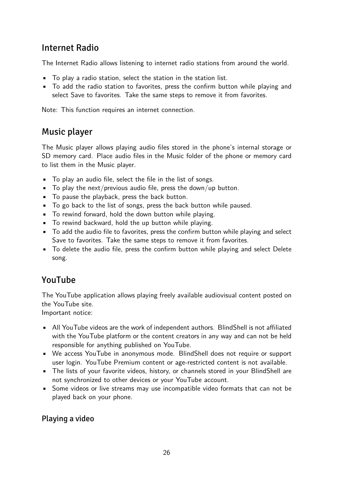### Internet Radio

The Internet Radio allows listening to internet radio stations from around the world.

- To play a radio station, select the station in the station list.
- To add the radio station to favorites, press the confirm button while playing and select Save to favorites. Take the same steps to remove it from favorites.

Note: This function requires an internet connection.

### Music player

The Music player allows playing audio files stored in the phone's internal storage or SD memory card. Place audio files in the Music folder of the phone or memory card to list them in the Music player.

- To play an audio file, select the file in the list of songs.
- $\blacksquare$  To play the next/previous audio file, press the down/up button.
- To pause the playback, press the back button.
- To go back to the list of songs, press the back button while paused.
- To rewind forward, hold the down button while playing.
- To rewind backward, hold the up button while playing.
- To add the audio file to favorites, press the confirm button while playing and select Save to favorites. Take the same steps to remove it from favorites.
- To delete the audio file, press the confirm button while playing and select Delete song.

### YouTube

The YouTube application allows playing freely available audiovisual content posted on the YouTube site.

Important notice:

- All YouTube videos are the work of independent authors. BlindShell is not affiliated with the YouTube platform or the content creators in any way and can not be held responsible for anything published on YouTube.
- We access YouTube in anonymous mode. BlindShell does not require or support user login. YouTube Premium content or age-restricted content is not available.
- The lists of your favorite videos, history, or channels stored in your BlindShell are not synchronized to other devices or your YouTube account.
- Some videos or live streams may use incompatible video formats that can not be played back on your phone.

#### Playing a video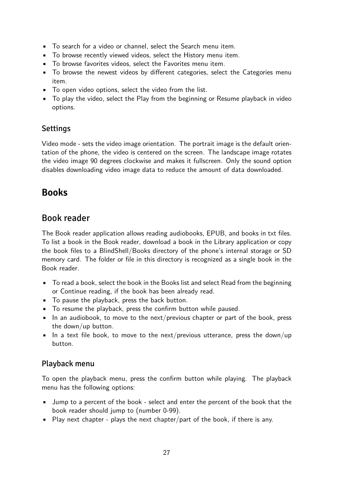- To search for a video or channel, select the Search menu item.
- To browse recently viewed videos, select the History menu item.
- To browse favorites videos, select the Favorites menu item.
- To browse the newest videos by different categories, select the Categories menu item.
- To open video options, select the video from the list.
- To play the video, select the Play from the beginning or Resume playback in video options.

#### Settings

Video mode - sets the video image orientation. The portrait image is the default orientation of the phone, the video is centered on the screen. The landscape image rotates the video image 90 degrees clockwise and makes it fullscreen. Only the sound option disables downloading video image data to reduce the amount of data downloaded.

### **Books**

### Book reader

The Book reader application allows reading audiobooks, EPUB, and books in txt files. To list a book in the Book reader, download a book in the Library application or copy the book files to a BlindShell/Books directory of the phone's internal storage or SD memory card. The folder or file in this directory is recognized as a single book in the Book reader.

- To read a book, select the book in the Books list and select Read from the beginning or Continue reading, if the book has been already read.
- To pause the playback, press the back button.
- To resume the playback, press the confirm button while paused.
- In an audiobook, to move to the next/previous chapter or part of the book, press the down/up button.
- $\bullet$  In a text file book, to move to the next/previous utterance, press the down/up button.

#### Playback menu

To open the playback menu, press the confirm button while playing. The playback menu has the following options:

- Jump to a percent of the book select and enter the percent of the book that the book reader should jump to (number 0-99).
- Play next chapter plays the next chapter/part of the book, if there is any.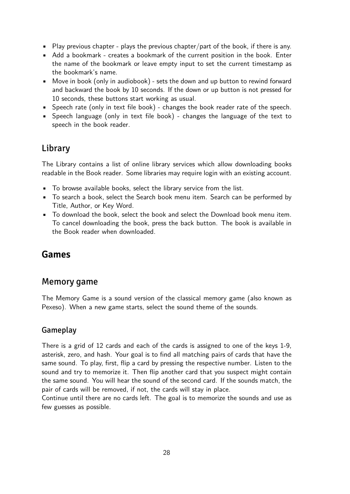- Play previous chapter plays the previous chapter/part of the book, if there is any.
- Add a bookmark creates a bookmark of the current position in the book. Enter the name of the bookmark or leave empty input to set the current timestamp as the bookmark's name.
- Move in book (only in audiobook) sets the down and up button to rewind forward and backward the book by 10 seconds. If the down or up button is not pressed for 10 seconds, these buttons start working as usual.
- Speech rate (only in text file book) changes the book reader rate of the speech.
- Speech language (only in text file book) changes the language of the text to speech in the book reader.

### Library

The Library contains a list of online library services which allow downloading books readable in the Book reader. Some libraries may require login with an existing account.

- To browse available books, select the library service from the list.
- To search a book, select the Search book menu item. Search can be performed by Title, Author, or Key Word.
- To download the book, select the book and select the Download book menu item. To cancel downloading the book, press the back button. The book is available in the Book reader when downloaded.

### **Games**

### Memory game

The Memory Game is a sound version of the classical memory game (also known as Pexeso). When a new game starts, select the sound theme of the sounds.

#### Gameplay

There is a grid of 12 cards and each of the cards is assigned to one of the keys 1-9, asterisk, zero, and hash. Your goal is to find all matching pairs of cards that have the same sound. To play, first, flip a card by pressing the respective number. Listen to the sound and try to memorize it. Then flip another card that you suspect might contain the same sound. You will hear the sound of the second card. If the sounds match, the pair of cards will be removed, if not, the cards will stay in place.

Continue until there are no cards left. The goal is to memorize the sounds and use as few guesses as possible.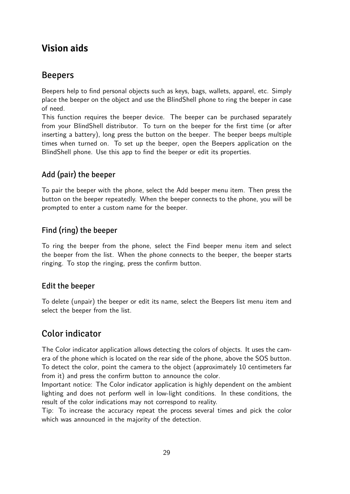### **Vision aids**

### Beepers

Beepers help to find personal objects such as keys, bags, wallets, apparel, etc. Simply place the beeper on the object and use the BlindShell phone to ring the beeper in case of need.

This function requires the beeper device. The beeper can be purchased separately from your BlindShell distributor. To turn on the beeper for the first time (or after inserting a battery), long press the button on the beeper. The beeper beeps multiple times when turned on. To set up the beeper, open the Beepers application on the BlindShell phone. Use this app to find the beeper or edit its properties.

### Add (pair) the beeper

To pair the beeper with the phone, select the Add beeper menu item. Then press the button on the beeper repeatedly. When the beeper connects to the phone, you will be prompted to enter a custom name for the beeper.

#### Find (ring) the beeper

To ring the beeper from the phone, select the Find beeper menu item and select the beeper from the list. When the phone connects to the beeper, the beeper starts ringing. To stop the ringing, press the confirm button.

#### Edit the beeper

To delete (unpair) the beeper or edit its name, select the Beepers list menu item and select the beeper from the list.

### Color indicator

The Color indicator application allows detecting the colors of objects. It uses the camera of the phone which is located on the rear side of the phone, above the SOS button. To detect the color, point the camera to the object (approximately 10 centimeters far from it) and press the confirm button to announce the color.

Important notice: The Color indicator application is highly dependent on the ambient lighting and does not perform well in low-light conditions. In these conditions, the result of the color indications may not correspond to reality.

Tip: To increase the accuracy repeat the process several times and pick the color which was announced in the majority of the detection.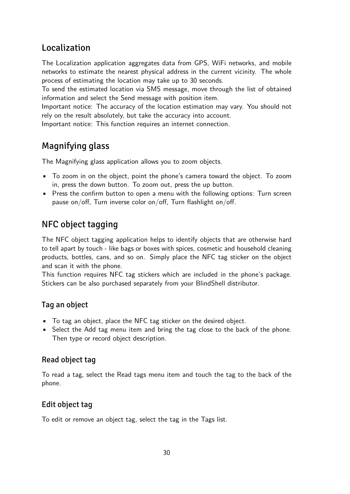### Localization

The Localization application aggregates data from GPS, WiFi networks, and mobile networks to estimate the nearest physical address in the current vicinity. The whole process of estimating the location may take up to 30 seconds.

To send the estimated location via SMS message, move through the list of obtained information and select the Send message with position item.

Important notice: The accuracy of the location estimation may vary. You should not rely on the result absolutely, but take the accuracy into account.

Important notice: This function requires an internet connection.

## Magnifying glass

The Magnifying glass application allows you to zoom objects.

- To zoom in on the object, point the phone's camera toward the object. To zoom in, press the down button. To zoom out, press the up button.
- Press the confirm button to open a menu with the following options: Turn screen pause on/off, Turn inverse color on/off, Turn flashlight on/off.

### NFC object tagging

The NFC object tagging application helps to identify objects that are otherwise hard to tell apart by touch - like bags or boxes with spices, cosmetic and household cleaning products, bottles, cans, and so on. Simply place the NFC tag sticker on the object and scan it with the phone.

This function requires NFC tag stickers which are included in the phone's package. Stickers can be also purchased separately from your BlindShell distributor.

### Tag an object

- To tag an object, place the NFC tag sticker on the desired object.
- Select the Add tag menu item and bring the tag close to the back of the phone. Then type or record object description.

#### Read object tag

To read a tag, select the Read tags menu item and touch the tag to the back of the phone.

#### Edit object tag

To edit or remove an object tag, select the tag in the Tags list.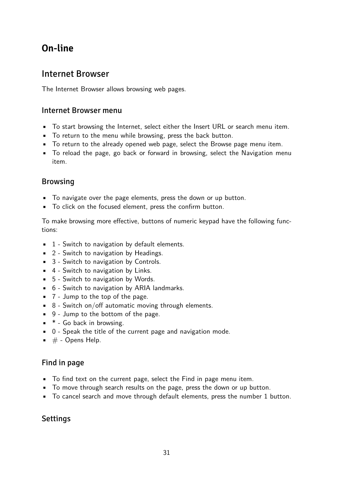## **On-line**

### Internet Browser

The Internet Browser allows browsing web pages.

#### Internet Browser menu

- To start browsing the Internet, select either the Insert URL or search menu item.
- To return to the menu while browsing, press the back button.
- To return to the already opened web page, select the Browse page menu item.
- To reload the page, go back or forward in browsing, select the Navigation menu item.

#### Browsing

- To navigate over the page elements, press the down or up button.
- To click on the focused element, press the confirm button.

To make browsing more effective, buttons of numeric keypad have the following functions:

- **•** 1 Switch to navigation by default elements.
- 2 Switch to navigation by Headings.
- 3 Switch to navigation by Controls.
- 4 Switch to navigation by Links.
- 5 Switch to navigation by Words.
- 6 Switch to navigation by ARIA landmarks.
- 7 Jump to the top of the page.
- $\bullet$  8 Switch on/off automatic moving through elements.
- 9 Jump to the bottom of the page.
- \* Go back in browsing.
- 0 Speak the title of the current page and navigation mode.
- $\bullet\quad \#$  Opens Help.

#### Find in page

- To find text on the current page, select the Find in page menu item.
- To move through search results on the page, press the down or up button.
- To cancel search and move through default elements, press the number 1 button.

#### **Settings**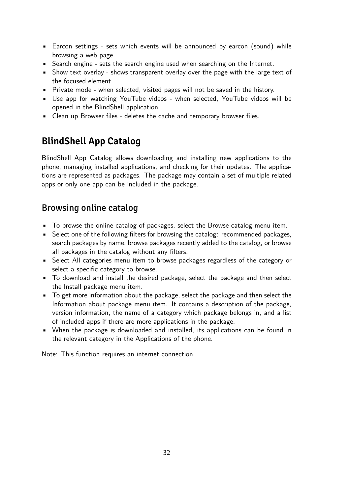- Earcon settings sets which events will be announced by earcon (sound) while browsing a web page.
- Search engine sets the search engine used when searching on the Internet.
- Show text overlay shows transparent overlay over the page with the large text of the focused element.
- Private mode when selected, visited pages will not be saved in the history.
- Use app for watching YouTube videos when selected, YouTube videos will be opened in the BlindShell application.
- Clean up Browser files deletes the cache and temporary browser files.

## **BlindShell App Catalog**

BlindShell App Catalog allows downloading and installing new applications to the phone, managing installed applications, and checking for their updates. The applications are represented as packages. The package may contain a set of multiple related apps or only one app can be included in the package.

### Browsing online catalog

- To browse the online catalog of packages, select the Browse catalog menu item.
- Select one of the following filters for browsing the catalog: recommended packages, search packages by name, browse packages recently added to the catalog, or browse all packages in the catalog without any filters.
- Select All categories menu item to browse packages regardless of the category or select a specific category to browse.
- To download and install the desired package, select the package and then select the Install package menu item.
- To get more information about the package, select the package and then select the Information about package menu item. It contains a description of the package, version information, the name of a category which package belongs in, and a list of included apps if there are more applications in the package.
- When the package is downloaded and installed, its applications can be found in the relevant category in the Applications of the phone.

Note: This function requires an internet connection.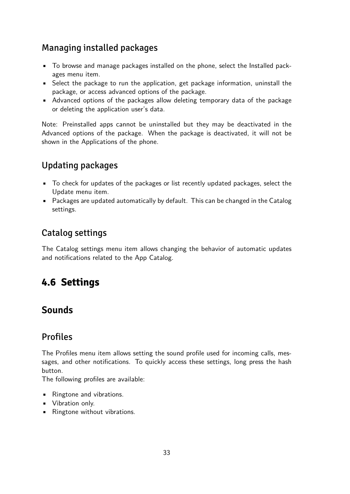### <span id="page-32-0"></span>Managing installed packages

- To browse and manage packages installed on the phone, select the Installed packages menu item.
- Select the package to run the application, get package information, uninstall the package, or access advanced options of the package.
- Advanced options of the packages allow deleting temporary data of the package or deleting the application user's data.

Note: Preinstalled apps cannot be uninstalled but they may be deactivated in the Advanced options of the package. When the package is deactivated, it will not be shown in the Applications of the phone.

## Updating packages

- To check for updates of the packages or list recently updated packages, select the Update menu item.
- Packages are updated automatically by default. This can be changed in the Catalog settings.

### Catalog settings

The Catalog settings menu item allows changing the behavior of automatic updates and notifications related to the App Catalog.

## **4.6 Settings**

### **Sounds**

### Profiles

The Profiles menu item allows setting the sound profile used for incoming calls, messages, and other notifications. To quickly access these settings, long press the hash button.

The following profiles are available:

- Ringtone and vibrations.
- Vibration only.
- Ringtone without vibrations.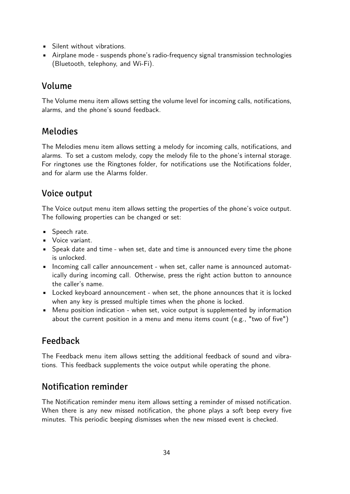- Silent without vibrations.
- Airplane mode suspends phone's radio-frequency signal transmission technologies (Bluetooth, telephony, and Wi-Fi).

### Volume

The Volume menu item allows setting the volume level for incoming calls, notifications, alarms, and the phone's sound feedback.

### Melodies

The Melodies menu item allows setting a melody for incoming calls, notifications, and alarms. To set a custom melody, copy the melody file to the phone's internal storage. For ringtones use the Ringtones folder, for notifications use the Notifications folder, and for alarm use the Alarms folder.

### Voice output

The Voice output menu item allows setting the properties of the phone's voice output. The following properties can be changed or set:

- Speech rate.
- Voice variant.
- Speak date and time when set, date and time is announced every time the phone is unlocked.
- Incoming call caller announcement when set, caller name is announced automatically during incoming call. Otherwise, press the right action button to announce the caller's name.
- Locked keyboard announcement when set, the phone announces that it is locked when any key is pressed multiple times when the phone is locked.
- Menu position indication when set, voice output is supplemented by information about the current position in a menu and menu items count (e.g., "two of five")

## Feedback

The Feedback menu item allows setting the additional feedback of sound and vibrations. This feedback supplements the voice output while operating the phone.

### Notification reminder

The Notification reminder menu item allows setting a reminder of missed notification. When there is any new missed notification, the phone plays a soft beep every five minutes. This periodic beeping dismisses when the new missed event is checked.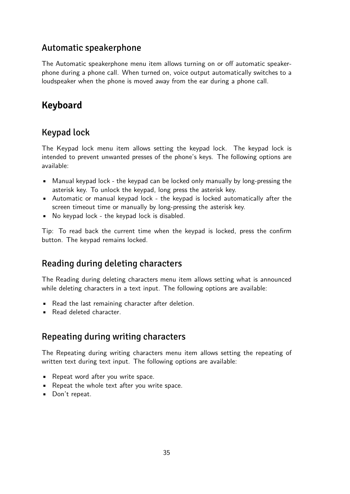### Automatic speakerphone

The Automatic speakerphone menu item allows turning on or off automatic speakerphone during a phone call. When turned on, voice output automatically switches to a loudspeaker when the phone is moved away from the ear during a phone call.

## **Keyboard**

### Keypad lock

The Keypad lock menu item allows setting the keypad lock. The keypad lock is intended to prevent unwanted presses of the phone's keys. The following options are available:

- Manual keypad lock the keypad can be locked only manually by long-pressing the asterisk key. To unlock the keypad, long press the asterisk key.
- Automatic or manual keypad lock the keypad is locked automatically after the screen timeout time or manually by long-pressing the asterisk key.
- No keypad lock the keypad lock is disabled.

Tip: To read back the current time when the keypad is locked, press the confirm button. The keypad remains locked.

### Reading during deleting characters

The Reading during deleting characters menu item allows setting what is announced while deleting characters in a text input. The following options are available:

- Read the last remaining character after deletion.
- Read deleted character.

### Repeating during writing characters

The Repeating during writing characters menu item allows setting the repeating of written text during text input. The following options are available:

- Repeat word after you write space.
- Repeat the whole text after you write space.
- Don't repeat.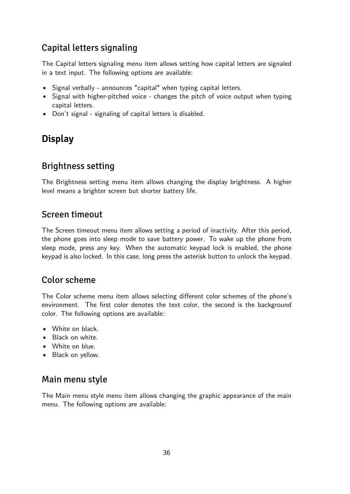### Capital letters signaling

The Capital letters signaling menu item allows setting how capital letters are signaled in a text input. The following options are available:

- Signal verbally announces "capital" when typing capital letters.
- Signal with higher-pitched voice changes the pitch of voice output when typing capital letters.
- Don't signal signaling of capital letters is disabled.

## **Display**

### Brightness setting

The Brightness setting menu item allows changing the display brightness. A higher level means a brighter screen but shorter battery life.

### Screen timeout

The Screen timeout menu item allows setting a period of inactivity. After this period, the phone goes into sleep mode to save battery power. To wake up the phone from sleep mode, press any key. When the automatic keypad lock is enabled, the phone keypad is also locked. In this case, long press the asterisk button to unlock the keypad.

### Color scheme

The Color scheme menu item allows selecting different color schemes of the phone's environment. The first color denotes the text color, the second is the background color. The following options are available:

- White on black.
- Black on white.
- White on blue.
- Black on yellow.

### Main menu style

The Main menu style menu item allows changing the graphic appearance of the main menu. The following options are available: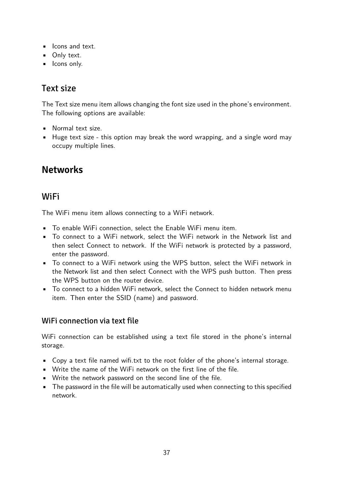- **•** Icons and text.
- **•** Only text.
- **·** Icons only.

### Text size

The Text size menu item allows changing the font size used in the phone's environment. The following options are available:

- Normal text size.
- Huge text size this option may break the word wrapping, and a single word may occupy multiple lines.

## **Networks**

### WiFi

The WiFi menu item allows connecting to a WiFi network.

- To enable WiFi connection, select the Enable WiFi menu item.
- To connect to a WiFi network, select the WiFi network in the Network list and then select Connect to network. If the WiFi network is protected by a password, enter the password.
- To connect to a WiFi network using the WPS button, select the WiFi network in the Network list and then select Connect with the WPS push button. Then press the WPS button on the router device.
- To connect to a hidden WiFi network, select the Connect to hidden network menu item. Then enter the SSID (name) and password.

#### WiFi connection via text file

WiFi connection can be established using a text file stored in the phone's internal storage.

- Copy a text file named wifi.txt to the root folder of the phone's internal storage.
- Write the name of the WiFi network on the first line of the file.
- Write the network password on the second line of the file.
- The password in the file will be automatically used when connecting to this specified network.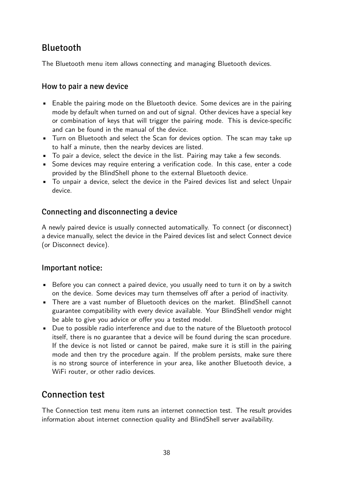### Bluetooth

The Bluetooth menu item allows connecting and managing Bluetooth devices.

#### How to pair a new device

- Enable the pairing mode on the Bluetooth device. Some devices are in the pairing mode by default when turned on and out of signal. Other devices have a special key or combination of keys that will trigger the pairing mode. This is device-specific and can be found in the manual of the device.
- Turn on Bluetooth and select the Scan for devices option. The scan may take up to half a minute, then the nearby devices are listed.
- To pair a device, select the device in the list. Pairing may take a few seconds.
- Some devices may require entering a verification code. In this case, enter a code provided by the BlindShell phone to the external Bluetooth device.
- To unpair a device, select the device in the Paired devices list and select Unpair device.

#### Connecting and disconnecting a device

A newly paired device is usually connected automatically. To connect (or disconnect) a device manually, select the device in the Paired devices list and select Connect device (or Disconnect device).

#### Important notice:

- Before you can connect a paired device, you usually need to turn it on by a switch on the device. Some devices may turn themselves off after a period of inactivity.
- There are a vast number of Bluetooth devices on the market. BlindShell cannot guarantee compatibility with every device available. Your BlindShell vendor might be able to give you advice or offer you a tested model.
- Due to possible radio interference and due to the nature of the Bluetooth protocol itself, there is no guarantee that a device will be found during the scan procedure. If the device is not listed or cannot be paired, make sure it is still in the pairing mode and then try the procedure again. If the problem persists, make sure there is no strong source of interference in your area, like another Bluetooth device, a WiFi router, or other radio devices.

### Connection test

The Connection test menu item runs an internet connection test. The result provides information about internet connection quality and BlindShell server availability.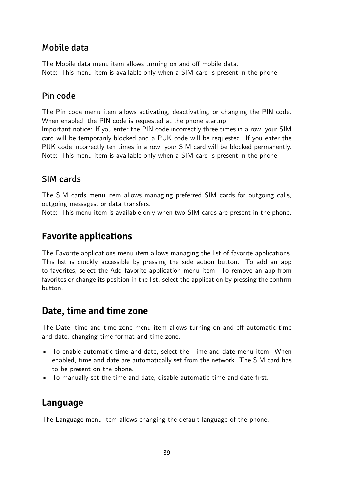### Mobile data

The Mobile data menu item allows turning on and off mobile data. Note: This menu item is available only when a SIM card is present in the phone.

### Pin code

The Pin code menu item allows activating, deactivating, or changing the PIN code. When enabled, the PIN code is requested at the phone startup.

Important notice: If you enter the PIN code incorrectly three times in a row, your SIM card will be temporarily blocked and a PUK code will be requested. If you enter the PUK code incorrectly ten times in a row, your SIM card will be blocked permanently. Note: This menu item is available only when a SIM card is present in the phone.

### SIM cards

The SIM cards menu item allows managing preferred SIM cards for outgoing calls, outgoing messages, or data transfers.

Note: This menu item is available only when two SIM cards are present in the phone.

### **Favorite applications**

The Favorite applications menu item allows managing the list of favorite applications. This list is quickly accessible by pressing the side action button. To add an app to favorites, select the Add favorite application menu item. To remove an app from favorites or change its position in the list, select the application by pressing the confirm button.

### **Date, time and time zone**

The Date, time and time zone menu item allows turning on and off automatic time and date, changing time format and time zone.

- To enable automatic time and date, select the Time and date menu item. When enabled, time and date are automatically set from the network. The SIM card has to be present on the phone.
- To manually set the time and date, disable automatic time and date first.

### **Language**

The Language menu item allows changing the default language of the phone.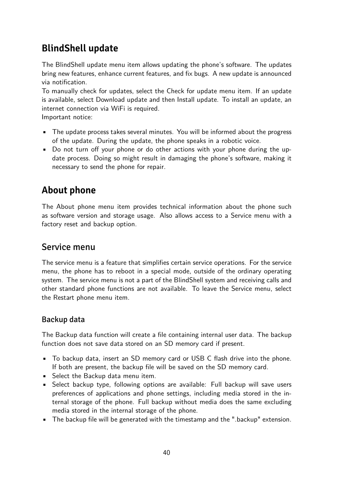## **BlindShell update**

The BlindShell update menu item allows updating the phone's software. The updates bring new features, enhance current features, and fix bugs. A new update is announced via notification.

To manually check for updates, select the Check for update menu item. If an update is available, select Download update and then Install update. To install an update, an internet connection via WiFi is required.

Important notice:

- The update process takes several minutes. You will be informed about the progress of the update. During the update, the phone speaks in a robotic voice.
- Do not turn off your phone or do other actions with your phone during the update process. Doing so might result in damaging the phone's software, making it necessary to send the phone for repair.

## **About phone**

The About phone menu item provides technical information about the phone such as software version and storage usage. Also allows access to a Service menu with a factory reset and backup option.

### Service menu

The service menu is a feature that simplifies certain service operations. For the service menu, the phone has to reboot in a special mode, outside of the ordinary operating system. The service menu is not a part of the BlindShell system and receiving calls and other standard phone functions are not available. To leave the Service menu, select the Restart phone menu item.

#### Backup data

The Backup data function will create a file containing internal user data. The backup function does not save data stored on an SD memory card if present.

- To backup data, insert an SD memory card or USB C flash drive into the phone. If both are present, the backup file will be saved on the SD memory card.
- Select the Backup data menu item.
- Select backup type, following options are available: Full backup will save users preferences of applications and phone settings, including media stored in the internal storage of the phone. Full backup without media does the same excluding media stored in the internal storage of the phone.
- The backup file will be generated with the timestamp and the ".backup" extension.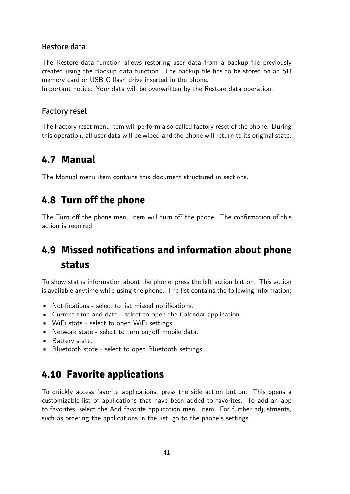#### <span id="page-40-0"></span>Restore data

The Restore data function allows restoring user data from a backup file previously created using the Backup data function. The backup file has to be stored on an SD memory card or USB C flash drive inserted in the phone.

Important notice: Your data will be overwritten by the Restore data operation.

#### Factory reset

The Factory reset menu item will perform a so-called factory reset of the phone. During this operation, all user data will be wiped and the phone will return to its original state.

### **4.7 Manual**

The Manual menu item contains this document structured in sections.

### **4.8 Turn off the phone**

The Turn off the phone menu item will turn off the phone. The confirmation of this action is required.

## **4.9 Missed notifications and information about phone status**

To show status information about the phone, press the left action button. This action is available anytime while using the phone. The list contains the following information:

- Notifications select to list missed notifications.
- Current time and date select to open the Calendar application.
- WiFi state select to open WiFi settings.
- $\blacksquare$  Network state select to turn on/off mobile data.
- Battery state.
- Bluetooth state select to open Bluetooth settings.

### **4.10 Favorite applications**

To quickly access favorite applications, press the side action button. This opens a customizable list of applications that have been added to favorites. To add an app to favorites, select the Add favorite application menu item. For further adjustments, such as ordering the applications in the list, go to the phone's settings.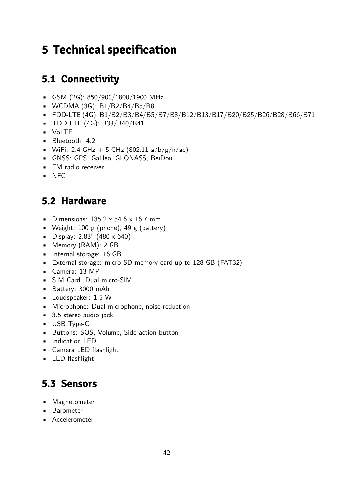# <span id="page-41-0"></span>**5 Technical specification**

## **5.1 Connectivity**

- GSM (2G): 850/900/1800/1900 MHz
- WCDMA (3G): B1/B2/B4/B5/B8
- FDD-LTE (4G): B1/B2/B3/B4/B5/B7/B8/B12/B13/B17/B20/B25/B26/B28/B66/B71
- TDD-LTE (4G): B38/B40/B41
- VoLTE
- Bluetooth: 4.2
- WiFi: 2.4 GHz + 5 GHz (802.11 a/b/g/n/ac)
- GNSS: GPS, Galileo, GLONASS, BeiDou
- FM radio receiver
- NFC

## **5.2 Hardware**

- Dimensions:  $135.2 \times 54.6 \times 16.7$  mm
- Weight:  $100 \text{ g}$  (phone),  $49 \text{ g}$  (battery)
- Display:  $2.83''$  (480  $\times$  640)
- Memory (RAM): 2 GB
- Internal storage: 16 GB
- External storage: micro SD memory card up to 128 GB (FAT32)
- Camera: 13 MP
- SIM Card: Dual micro-SIM
- Battery: 3000 mAh
- Loudspeaker: 1.5 W
- Microphone: Dual microphone, noise reduction
- 3.5 stereo audio jack
- USB Type-C
- Buttons: SOS, Volume, Side action button
- **•** Indication LED
- Camera LED flashlight
- LED flashlight

## **5.3 Sensors**

- Magnetometer
- Barometer
- Accelerometer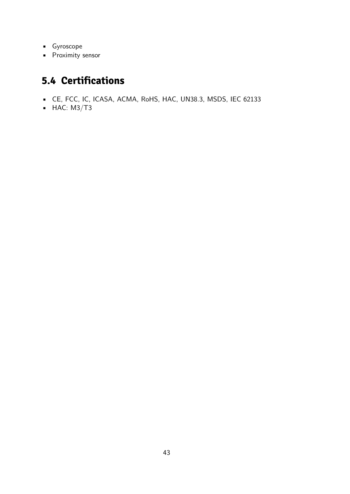- <span id="page-42-0"></span>• Gyroscope
- Proximity sensor

## **5.4 Certifications**

- CE, FCC, IC, ICASA, ACMA, RoHS, HAC, UN38.3, MSDS, IEC 62133
- $-HAC: M3/T3$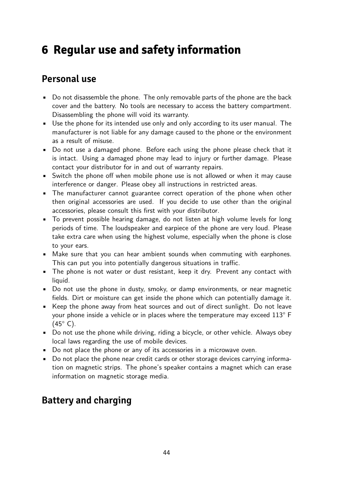# <span id="page-43-0"></span>**6 Regular use and safety information**

### **Personal use**

- Do not disassemble the phone. The only removable parts of the phone are the back cover and the battery. No tools are necessary to access the battery compartment. Disassembling the phone will void its warranty.
- Use the phone for its intended use only and only according to its user manual. The manufacturer is not liable for any damage caused to the phone or the environment as a result of misuse.
- Do not use a damaged phone. Before each using the phone please check that it is intact. Using a damaged phone may lead to injury or further damage. Please contact your distributor for in and out of warranty repairs.
- Switch the phone off when mobile phone use is not allowed or when it may cause interference or danger. Please obey all instructions in restricted areas.
- The manufacturer cannot guarantee correct operation of the phone when other then original accessories are used. If you decide to use other than the original accessories, please consult this first with your distributor.
- To prevent possible hearing damage, do not listen at high volume levels for long periods of time. The loudspeaker and earpiece of the phone are very loud. Please take extra care when using the highest volume, especially when the phone is close to your ears.
- Make sure that you can hear ambient sounds when commuting with earphones. This can put you into potentially dangerous situations in traffic.
- The phone is not water or dust resistant, keep it dry. Prevent any contact with liquid.
- Do not use the phone in dusty, smoky, or damp environments, or near magnetic fields. Dirt or moisture can get inside the phone which can potentially damage it.
- Keep the phone away from heat sources and out of direct sunlight. Do not leave your phone inside a vehicle or in places where the temperature may exceed 113° F  $(45^{\circ} \text{ C})$ .
- Do not use the phone while driving, riding a bicycle, or other vehicle. Always obey local laws regarding the use of mobile devices.
- Do not place the phone or any of its accessories in a microwave oven.
- Do not place the phone near credit cards or other storage devices carrying information on magnetic strips. The phone's speaker contains a magnet which can erase information on magnetic storage media.

## **Battery and charging**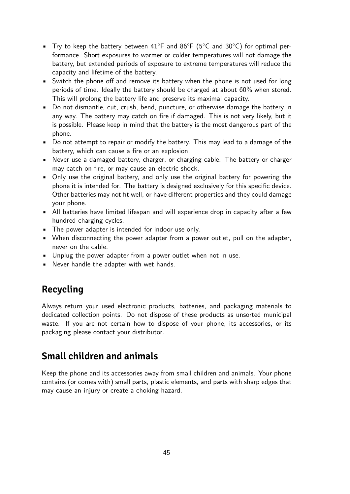- Try to keep the battery between  $41^{\circ}F$  and  $86^{\circ}F$  (5°C and 30°C) for optimal performance. Short exposures to warmer or colder temperatures will not damage the battery, but extended periods of exposure to extreme temperatures will reduce the capacity and lifetime of the battery.
- Switch the phone off and remove its battery when the phone is not used for long periods of time. Ideally the battery should be charged at about 60% when stored. This will prolong the battery life and preserve its maximal capacity.
- Do not dismantle, cut, crush, bend, puncture, or otherwise damage the battery in any way. The battery may catch on fire if damaged. This is not very likely, but it is possible. Please keep in mind that the battery is the most dangerous part of the phone.
- Do not attempt to repair or modify the battery. This may lead to a damage of the battery, which can cause a fire or an explosion.
- Never use a damaged battery, charger, or charging cable. The battery or charger may catch on fire, or may cause an electric shock.
- Only use the original battery, and only use the original battery for powering the phone it is intended for. The battery is designed exclusively for this specific device. Other batteries may not fit well, or have different properties and they could damage your phone.
- All batteries have limited lifespan and will experience drop in capacity after a few hundred charging cycles.
- The power adapter is intended for indoor use only.
- When disconnecting the power adapter from a power outlet, pull on the adapter, never on the cable.
- Unplug the power adapter from a power outlet when not in use.
- Never handle the adapter with wet hands.

## **Recycling**

Always return your used electronic products, batteries, and packaging materials to dedicated collection points. Do not dispose of these products as unsorted municipal waste. If you are not certain how to dispose of your phone, its accessories, or its packaging please contact your distributor.

### **Small children and animals**

Keep the phone and its accessories away from small children and animals. Your phone contains (or comes with) small parts, plastic elements, and parts with sharp edges that may cause an injury or create a choking hazard.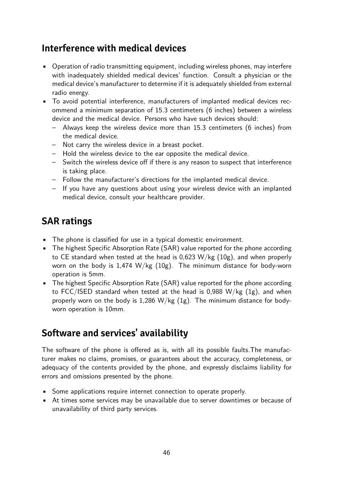### **Interference with medical devices**

- Operation of radio transmitting equipment, including wireless phones, may interfere with inadequately shielded medical devices' function. Consult a physician or the medical device's manufacturer to determine if it is adequately shielded from external radio energy.
- To avoid potential interference, manufacturers of implanted medical devices recommend a minimum separation of 15.3 centimeters (6 inches) between a wireless device and the medical device. Persons who have such devices should:
	- Always keep the wireless device more than 15.3 centimeters (6 inches) from the medical device.
	- Not carry the wireless device in a breast pocket.
	- Hold the wireless device to the ear opposite the medical device.
	- Switch the wireless device off if there is any reason to suspect that interference is taking place.
	- Follow the manufacturer's directions for the implanted medical device.
	- If you have any questions about using your wireless device with an implanted medical device, consult your healthcare provider.

### **SAR ratings**

- The phone is classified for use in a typical domestic environment.
- The highest Specific Absorption Rate (SAR) value reported for the phone according to CE standard when tested at the head is 0,623 W/kg (10g), and when properly worn on the body is 1,474 W/kg (10g). The minimum distance for body-worn operation is 5mm.
- The highest Specific Absorption Rate (SAR) value reported for the phone according to FCC/ISED standard when tested at the head is 0,988 W/kg (1g), and when properly worn on the body is 1,286  $W/kg$  (1g). The minimum distance for bodyworn operation is 10mm.

## **Software and services' availability**

The software of the phone is offered as is, with all its possible faults.The manufacturer makes no claims, promises, or guarantees about the accuracy, completeness, or adequacy of the contents provided by the phone, and expressly disclaims liability for errors and omissions presented by the phone.

- Some applications require internet connection to operate properly.
- At times some services may be unavailable due to server downtimes or because of unavailability of third party services.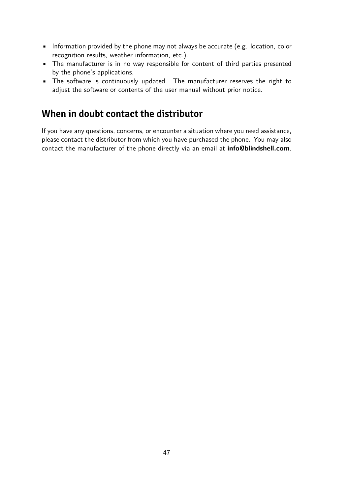- Information provided by the phone may not always be accurate (e.g. location, color recognition results, weather information, etc.).
- The manufacturer is in no way responsible for content of third parties presented by the phone's applications.
- The software is continuously updated. The manufacturer reserves the right to adjust the software or contents of the user manual without prior notice.

### **When in doubt contact the distributor**

If you have any questions, concerns, or encounter a situation where you need assistance, please contact the distributor from which you have purchased the phone. You may also contact the manufacturer of the phone directly via an email at **[info@blindshell.com](mailto:info@blindshell.com)**.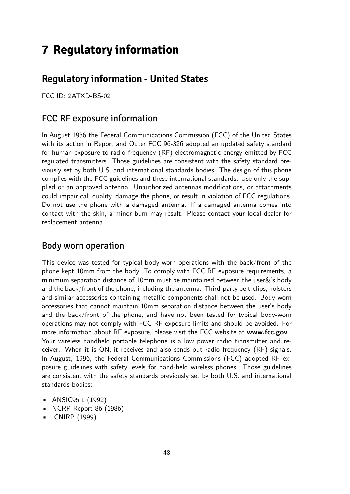# <span id="page-47-0"></span>**7 Regulatory information**

## **Regulatory information - United States**

FCC ID: 2ATXD-BS-02

### FCC RF exposure information

In August 1986 the Federal Communications Commission (FCC) of the United States with its action in Report and Outer FCC 96-326 adopted an updated safety standard for human exposure to radio frequency (RF) electromagnetic energy emitted by FCC regulated transmitters. Those guidelines are consistent with the safety standard previously set by both U.S. and international standards bodies. The design of this phone complies with the FCC guidelines and these international standards. Use only the supplied or an approved antenna. Unauthorized antennas modifications, or attachments could impair call quality, damage the phone, or result in violation of FCC regulations. Do not use the phone with a damaged antenna. If a damaged antenna comes into contact with the skin, a minor burn may result. Please contact your local dealer for replacement antenna.

#### Body worn operation

This device was tested for typical body-worn operations with the back/front of the phone kept 10mm from the body. To comply with FCC RF exposure requirements, a minimum separation distance of 10mm must be maintained between the user&'s body and the back/front of the phone, including the antenna. Third-party belt-clips, holsters and similar accessories containing metallic components shall not be used. Body-worn accessories that cannot maintain 10mm separation distance between the user's body and the back/front of the phone, and have not been tested for typical body-worn operations may not comply with FCC RF exposure limits and should be avoided. For more information about RF exposure, please visit the FCC website at **[www.fcc.gov](http://www.fcc.gov)** Your wireless handheld portable telephone is a low power radio transmitter and receiver. When it is ON, it receives and also sends out radio frequency (RF) signals. In August, 1996, the Federal Communications Commissions (FCC) adopted RF exposure guidelines with safety levels for hand-held wireless phones. Those guidelines are consistent with the safety standards previously set by both U.S. and international standards bodies:

- ANSIC95.1 (1992)
- NCRP Report 86 (1986)
- ICNIRP (1999)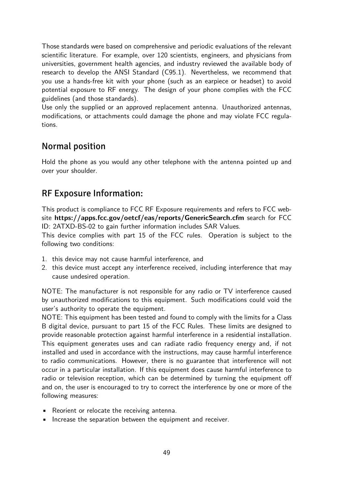Those standards were based on comprehensive and periodic evaluations of the relevant scientific literature. For example, over 120 scientists, engineers, and physicians from universities, government health agencies, and industry reviewed the available body of research to develop the ANSI Standard (C95.1). Nevertheless, we recommend that you use a hands-free kit with your phone (such as an earpiece or headset) to avoid potential exposure to RF energy. The design of your phone complies with the FCC guidelines (and those standards).

Use only the supplied or an approved replacement antenna. Unauthorized antennas, modifications, or attachments could damage the phone and may violate FCC regulations.

### Normal position

Hold the phone as you would any other telephone with the antenna pointed up and over your shoulder.

### RF Exposure Information:

This product is compliance to FCC RF Exposure requirements and refers to FCC website **<https://apps.fcc.gov/oetcf/eas/reports/GenericSearch.cfm>** search for FCC ID: 2ATXD-BS-02 to gain further information includes SAR Values.

This device complies with part 15 of the FCC rules. Operation is subject to the following two conditions:

- 1. this device may not cause harmful interference, and
- 2. this device must accept any interference received, including interference that may cause undesired operation.

NOTE: The manufacturer is not responsible for any radio or TV interference caused by unauthorized modifications to this equipment. Such modifications could void the user's authority to operate the equipment.

NOTE: This equipment has been tested and found to comply with the limits for a Class B digital device, pursuant to part 15 of the FCC Rules. These limits are designed to provide reasonable protection against harmful interference in a residential installation. This equipment generates uses and can radiate radio frequency energy and, if not installed and used in accordance with the instructions, may cause harmful interference to radio communications. However, there is no guarantee that interference will not occur in a particular installation. If this equipment does cause harmful interference to radio or television reception, which can be determined by turning the equipment off and on, the user is encouraged to try to correct the interference by one or more of the following measures:

- Reorient or relocate the receiving antenna.
- Increase the separation between the equipment and receiver.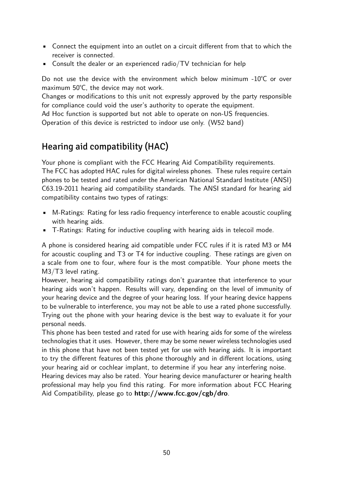- Connect the equipment into an outlet on a circuit different from that to which the receiver is connected.
- Consult the dealer or an experienced radio/ $TV$  technician for help

Do not use the device with the environment which below minimum -10℃ or over maximum 50℃, the device may not work.

Changes or modifications to this unit not expressly approved by the party responsible for compliance could void the user's authority to operate the equipment.

Ad Hoc function is supported but not able to operate on non-US frequencies. Operation of this device is restricted to indoor use only. (W52 band)

### Hearing aid compatibility (HAC)

Your phone is compliant with the FCC Hearing Aid Compatibility requirements. The FCC has adopted HAC rules for digital wireless phones. These rules require certain phones to be tested and rated under the American National Standard Institute (ANSI) C63.19-2011 hearing aid compatibility standards. The ANSI standard for hearing aid compatibility contains two types of ratings:

- M-Ratings: Rating for less radio frequency interference to enable acoustic coupling with hearing aids.
- T-Ratings: Rating for inductive coupling with hearing aids in telecoil mode.

A phone is considered hearing aid compatible under FCC rules if it is rated M3 or M4 for acoustic coupling and T3 or T4 for inductive coupling. These ratings are given on a scale from one to four, where four is the most compatible. Your phone meets the M3/T3 level rating.

However, hearing aid compatibility ratings don't guarantee that interference to your hearing aids won't happen. Results will vary, depending on the level of immunity of your hearing device and the degree of your hearing loss. If your hearing device happens to be vulnerable to interference, you may not be able to use a rated phone successfully. Trying out the phone with your hearing device is the best way to evaluate it for your personal needs.

This phone has been tested and rated for use with hearing aids for some of the wireless technologies that it uses. However, there may be some newer wireless technologies used in this phone that have not been tested yet for use with hearing aids. It is important to try the different features of this phone thoroughly and in different locations, using your hearing aid or cochlear implant, to determine if you hear any interfering noise.

Hearing devices may also be rated. Your hearing device manufacturer or hearing health professional may help you find this rating. For more information about FCC Hearing Aid Compatibility, please go to **<http://www.fcc.gov/cgb/dro>**.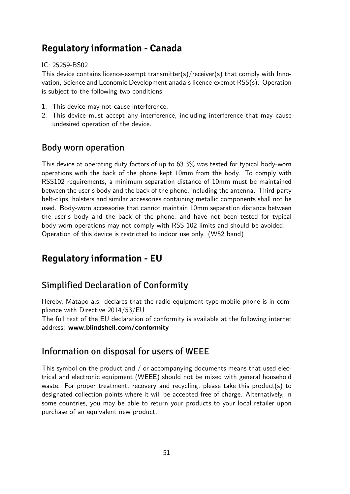### **Regulatory information - Canada**

#### IC: 25259-BS02

This device contains licence-exempt transmitter(s)/receiver(s) that comply with Innovation, Science and Economic Development anada's licence-exempt RSS(s). Operation is subject to the following two conditions:

- 1. This device may not cause interference.
- 2. This device must accept any interference, including interference that may cause undesired operation of the device.

### Body worn operation

This device at operating duty factors of up to 63.3% was tested for typical body-worn operations with the back of the phone kept 10mm from the body. To comply with RSS102 requirements, a minimum separation distance of 10mm must be maintained between the user's body and the back of the phone, including the antenna. Third-party belt-clips, holsters and similar accessories containing metallic components shall not be used. Body-worn accessories that cannot maintain 10mm separation distance between the user's body and the back of the phone, and have not been tested for typical body-worn operations may not comply with RSS 102 limits and should be avoided. Operation of this device is restricted to indoor use only. (W52 band)

## **Regulatory information - EU**

### Simplified Declaration of Conformity

Hereby, Matapo a.s. declares that the radio equipment type mobile phone is in compliance with Directive 2014/53/EU

The full text of the EU declaration of conformity is available at the following internet address: **[www.blindshell.com/conformity](http://www.blindshell.com/conformity)**

### Information on disposal for users of WEEE

This symbol on the product and  $/$  or accompanying documents means that used electrical and electronic equipment (WEEE) should not be mixed with general household waste. For proper treatment, recovery and recycling, please take this product(s) to designated collection points where it will be accepted free of charge. Alternatively, in some countries, you may be able to return your products to your local retailer upon purchase of an equivalent new product.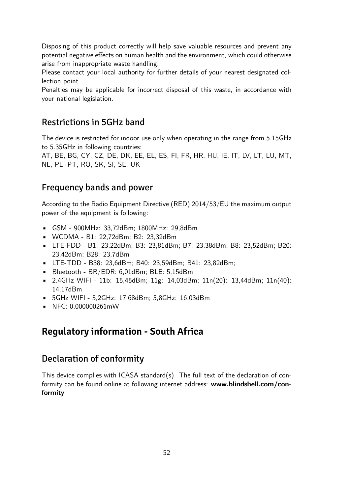Disposing of this product correctly will help save valuable resources and prevent any potential negative effects on human health and the environment, which could otherwise arise from inappropriate waste handling.

Please contact your local authority for further details of your nearest designated collection point.

Penalties may be applicable for incorrect disposal of this waste, in accordance with your national legislation.

### Restrictions in 5GHz band

The device is restricted for indoor use only when operating in the range from 5.15GHz to 5.35GHz in following countries:

AT, BE, BG, CY, CZ, DE, DK, EE, EL, ES, FI, FR, HR, HU, IE, IT, LV, LT, LU, MT, NL, PL, PT, RO, SK, SI, SE, UK

### Frequency bands and power

According to the Radio Equipment Directive (RED) 2014/53/EU the maximum output power of the equipment is following:

- GSM 900MHz: 33,72dBm; 1800MHz: 29,8dBm
- WCDMA B1: 22,72dBm; B2: 23,32dBm
- LTE-FDD B1: 23,22dBm; B3: 23,81dBm; B7: 23,38dBm; B8: 23,52dBm; B20: 23,42dBm; B28: 23,7dBm
- LTE-TDD B38: 23,6dBm; B40: 23,59dBm; B41: 23,82dBm;
- Bluetooth BR/EDR: 6,01dBm; BLE: 5,15dBm
- 2.4GHz WIFI 11b: 15,45dBm; 11g: 14,03dBm; 11n(20): 13,44dBm; 11n(40): 14,17dBm
- 5GHz WIFI 5,2GHz: 17,68dBm; 5,8GHz: 16,03dBm
- NFC: 0,000000261mW

## **Regulatory information - South Africa**

### Declaration of conformity

This device complies with ICASA standard(s). The full text of the declaration of conformity can be found online at following internet address: **[www.blindshell.com/con](http://www.blindshell.com/conformity)[formity](http://www.blindshell.com/conformity)**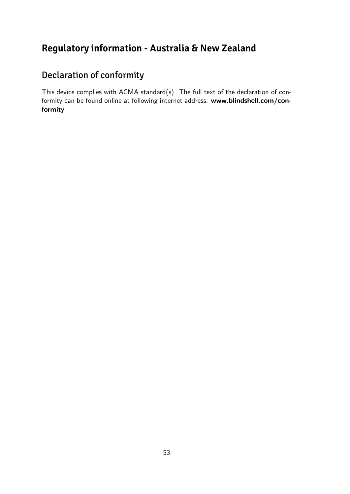## **Regulatory information - Australia & New Zealand**

## Declaration of conformity

This device complies with ACMA standard(s). The full text of the declaration of conformity can be found online at following internet address: **[www.blindshell.com/con](http://www.blindshell.com/conformity)[formity](http://www.blindshell.com/conformity)**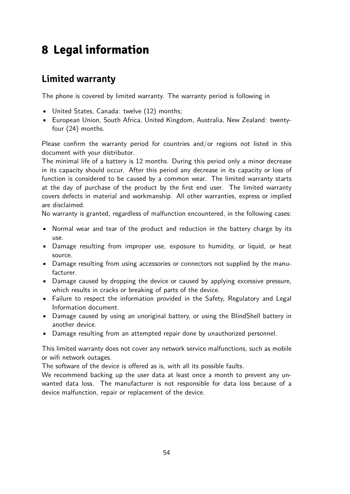# <span id="page-53-0"></span>**8 Legal information**

## **Limited warranty**

The phone is covered by limited warranty. The warranty period is following in

- United States, Canada: twelve (12) months;
- European Union, South Africa, United Kingdom, Australia, New Zealand: twentyfour (24) months.

Please confirm the warranty period for countries and/or regions not listed in this document with your distributor.

The minimal life of a battery is 12 months. During this period only a minor decrease in its capacity should occur. After this period any decrease in its capacity or loss of function is considered to be caused by a common wear. The limited warranty starts at the day of purchase of the product by the first end user. The limited warranty covers defects in material and workmanship. All other warranties, express or implied are disclaimed.

No warranty is granted, regardless of malfunction encountered, in the following cases:

- Normal wear and tear of the product and reduction in the battery charge by its use.
- Damage resulting from improper use, exposure to humidity, or liquid, or heat source.
- Damage resulting from using accessories or connectors not supplied by the manufacturer.
- Damage caused by dropping the device or caused by applying excessive pressure, which results in cracks or breaking of parts of the device.
- Failure to respect the information provided in the Safety, Regulatory and Legal Information document.
- Damage caused by using an unoriginal battery, or using the BlindShell battery in another device.
- Damage resulting from an attempted repair done by unauthorized personnel.

This limited warranty does not cover any network service malfunctions, such as mobile or wifi network outages.

The software of the device is offered as is, with all its possible faults.

We recommend backing up the user data at least once a month to prevent any unwanted data loss. The manufacturer is not responsible for data loss because of a device malfunction, repair or replacement of the device.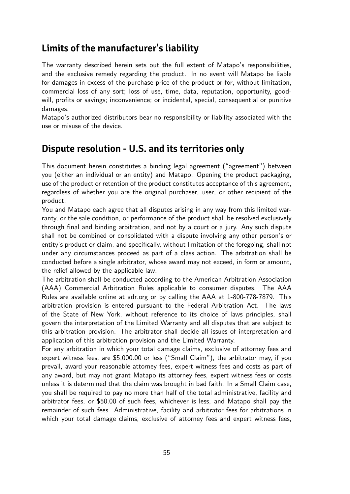### **Limits of the manufacturer's liability**

The warranty described herein sets out the full extent of Matapo's responsibilities, and the exclusive remedy regarding the product. In no event will Matapo be liable for damages in excess of the purchase price of the product or for, without limitation, commercial loss of any sort; loss of use, time, data, reputation, opportunity, goodwill, profits or savings; inconvenience; or incidental, special, consequential or punitive damages.

Matapo's authorized distributors bear no responsibility or liability associated with the use or misuse of the device.

### **Dispute resolution - U.S. and its territories only**

This document herein constitutes a binding legal agreement ("agreement") between you (either an individual or an entity) and Matapo. Opening the product packaging, use of the product or retention of the product constitutes acceptance of this agreement, regardless of whether you are the original purchaser, user, or other recipient of the product.

You and Matapo each agree that all disputes arising in any way from this limited warranty, or the sale condition, or performance of the product shall be resolved exclusively through final and binding arbitration, and not by a court or a jury. Any such dispute shall not be combined or consolidated with a dispute involving any other person's or entity's product or claim, and specifically, without limitation of the foregoing, shall not under any circumstances proceed as part of a class action. The arbitration shall be conducted before a single arbitrator, whose award may not exceed, in form or amount, the relief allowed by the applicable law.

The arbitration shall be conducted according to the American Arbitration Association (AAA) Commercial Arbitration Rules applicable to consumer disputes. The AAA Rules are available online at adr.org or by calling the AAA at 1-800-778-7879. This arbitration provision is entered pursuant to the Federal Arbitration Act. The laws of the State of New York, without reference to its choice of laws principles, shall govern the interpretation of the Limited Warranty and all disputes that are subject to this arbitration provision. The arbitrator shall decide all issues of interpretation and application of this arbitration provision and the Limited Warranty.

For any arbitration in which your total damage claims, exclusive of attorney fees and expert witness fees, are \$5,000.00 or less ("Small Claim"), the arbitrator may, if you prevail, award your reasonable attorney fees, expert witness fees and costs as part of any award, but may not grant Matapo its attorney fees, expert witness fees or costs unless it is determined that the claim was brought in bad faith. In a Small Claim case, you shall be required to pay no more than half of the total administrative, facility and arbitrator fees, or \$50.00 of such fees, whichever is less, and Matapo shall pay the remainder of such fees. Administrative, facility and arbitrator fees for arbitrations in which your total damage claims, exclusive of attorney fees and expert witness fees,